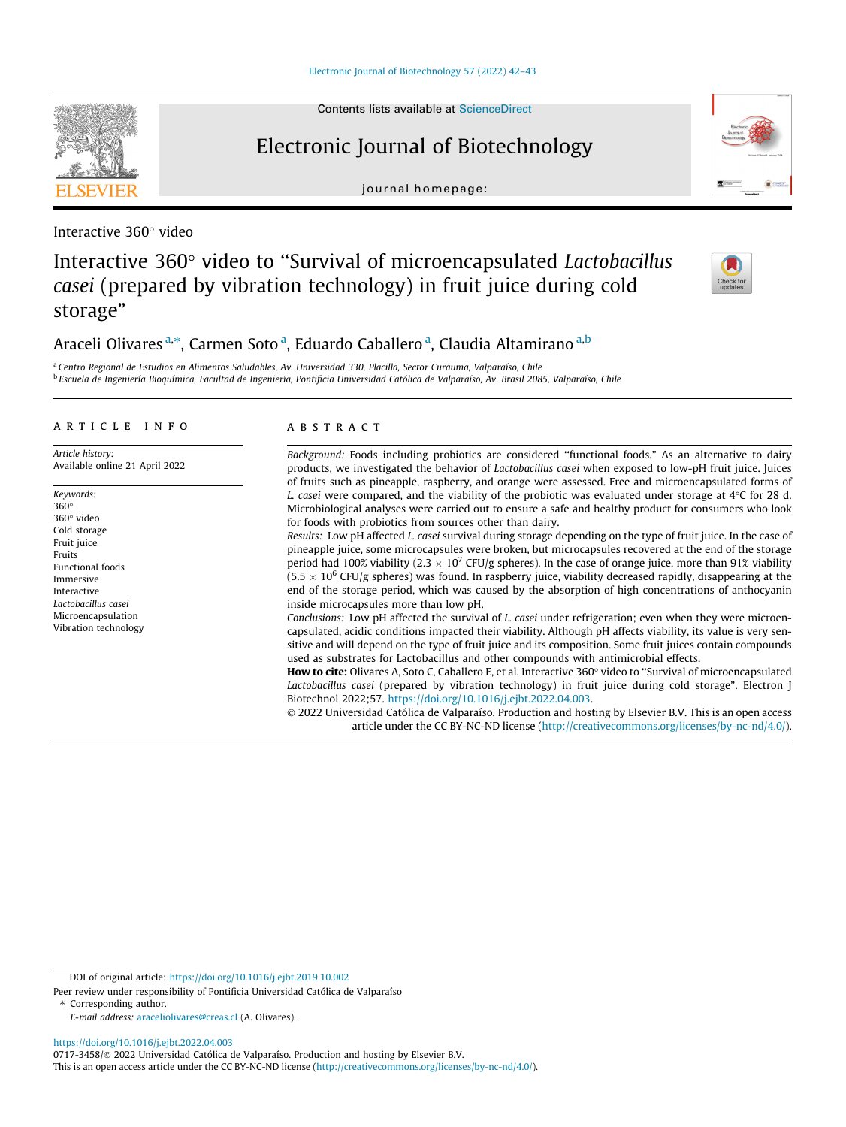[Electronic Journal of Biotechnology 57 \(2022\) 42–43](https://doi.org/10.1016/j.ejbt.2022.04.003)

## Electronic Journal of Biotechnology

journal homepage:

# Interactive 360° video to "Survival of microencapsulated Lactobacillus casei (prepared by vibration technology) in fruit juice during cold storage"

### Araceli Olivares<sup>a,\*</sup>, Carmen Soto<sup>a</sup>, Eduardo Caballero<sup>a</sup>, Claudia Altamirano<sup>a,b</sup>

<sup>a</sup> Centro Regional de Estudios en Alimentos Saludables, Av. Universidad 330, Placilla, Sector Curauma, Valparaíso, Chile <sup>b</sup> Escuela de Ingeniería Bioquímica, Facultad de Ingeniería, Pontificia Universidad Católica de Valparaíso, Av. Brasil 2085, Valparaíso, Chile

#### article info

Article history: Available online 21 April 2022

Keywords: 360 360° video Cold storage Fruit juice Fruits Functional foods Immersive Interactive Lactobacillus casei Microencapsulation Vibration technology

#### **ABSTRACT**

Background: Foods including probiotics are considered ''functional foods." As an alternative to dairy products, we investigated the behavior of Lactobacillus casei when exposed to low-pH fruit juice. Juices of fruits such as pineapple, raspberry, and orange were assessed. Free and microencapsulated forms of L. casei were compared, and the viability of the probiotic was evaluated under storage at  $4^{\circ}$ C for 28 d. Microbiological analyses were carried out to ensure a safe and healthy product for consumers who look for foods with probiotics from sources other than dairy.

Results: Low pH affected L. casei survival during storage depending on the type of fruit juice. In the case of pineapple juice, some microcapsules were broken, but microcapsules recovered at the end of the storage period had 100% viability (2.3  $\times$  10<sup>7</sup> CFU/g spheres). In the case of orange juice, more than 91% viability  $(5.5 \times 10^6$  CFU/g spheres) was found. In raspberry juice, viability decreased rapidly, disappearing at the end of the storage period, which was caused by the absorption of high concentrations of anthocyanin inside microcapsules more than low pH.

Conclusions: Low pH affected the survival of L. casei under refrigeration; even when they were microencapsulated, acidic conditions impacted their viability. Although pH affects viability, its value is very sensitive and will depend on the type of fruit juice and its composition. Some fruit juices contain compounds used as substrates for Lactobacillus and other compounds with antimicrobial effects.

How to cite: Olivares A, Soto C, Caballero E, et al. Interactive 360° video to "Survival of microencapsulated Lactobacillus casei (prepared by vibration technology) in fruit juice during cold storage". Electron J Biotechnol 2022;57. [https://doi.org/10.1016/j.ejbt.2022.04.003.](https://doi.org/10.1016/j.ejbt.2022.04.003)

 2022 Universidad Católica de Valparaíso. Production and hosting by Elsevier B.V. This is an open access article under the CC BY-NC-ND license (<http://creativecommons.org/licenses/by-nc-nd/4.0/>).

⇑ Corresponding author.









Interactive 360° video

DOI of original article: [https://doi.org/10.1016/j.ejbt.2019.10.002](https://doi.org/10.1016/j.ejbt.2022.04.003)

Peer review under responsibility of Pontificia Universidad Católica de Valparaíso